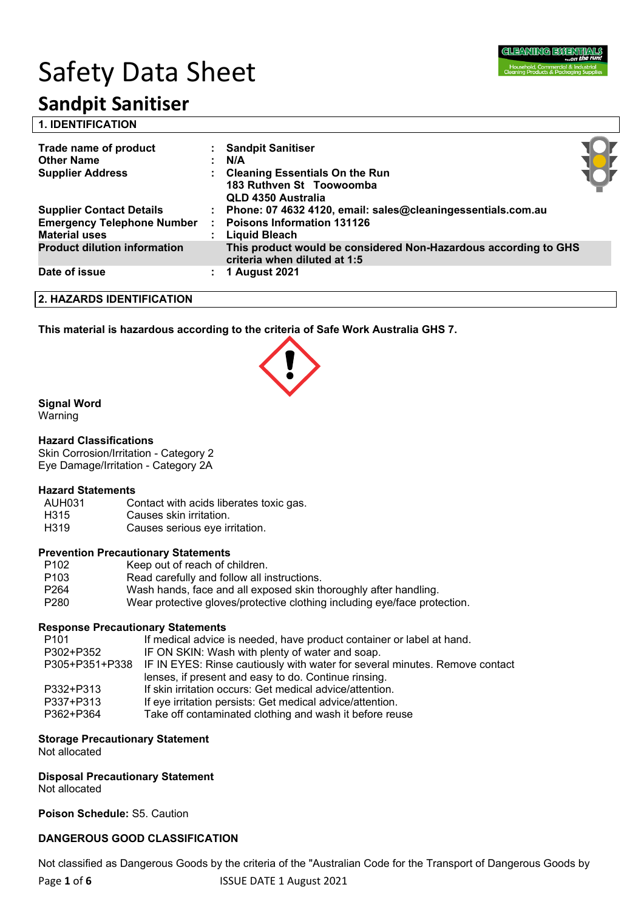

# Safety Data Sheet

## **Sandpit Sanitiser**

| <b>1. IDENTIFICATION</b>                                                                     |    |                                                                                                                     |  |
|----------------------------------------------------------------------------------------------|----|---------------------------------------------------------------------------------------------------------------------|--|
| Trade name of product<br><b>Other Name</b><br><b>Supplier Address</b>                        |    | : Sandpit Sanitiser<br>N/A<br>: Cleaning Essentials On the Run<br>183 Ruthven St Toowoomba<br>QLD 4350 Australia    |  |
| <b>Supplier Contact Details</b><br><b>Emergency Telephone Number</b><br><b>Material uses</b> |    | : Phone: 07 4632 4120, email: sales@cleaningessentials.com.au<br><b>Poisons Information 131126</b><br>Liquid Bleach |  |
| <b>Product dilution information</b>                                                          |    | This product would be considered Non-Hazardous according to GHS<br>criteria when diluted at 1:5                     |  |
| Date of issue                                                                                | ÷. | 1 August 2021                                                                                                       |  |
| <b>2. HAZARDS IDENTIFICATION</b>                                                             |    |                                                                                                                     |  |

**This material is hazardous according to the criteria of Safe Work Australia GHS 7.**

### **Signal Word**

Warning

#### **Hazard Classifications**

Skin Corrosion/Irritation - Category 2 Eye Damage/Irritation - Category 2A

#### **Hazard Statements**

- AUH031 Contact with acids liberates toxic gas.
- H315 Causes skin irritation.
- H319 Causes serious eye irritation.

#### **Prevention Precautionary Statements**

- P102 Keep out of reach of children.
- P103 Read carefully and follow all instructions.<br>P264 Wash hands, face and all exposed skin the
- Wash hands, face and all exposed skin thoroughly after handling.
- P280 Wear protective gloves/protective clothing including eye/face protection.

#### **Response Precautionary Statements**

| P <sub>101</sub> | If medical advice is needed, have product container or label at hand.                      |
|------------------|--------------------------------------------------------------------------------------------|
| P302+P352        | IF ON SKIN: Wash with plenty of water and soap.                                            |
|                  | P305+P351+P338 IF IN EYES: Rinse cautiously with water for several minutes. Remove contact |
|                  | lenses, if present and easy to do. Continue rinsing.                                       |
| P332+P313        | If skin irritation occurs: Get medical advice/attention.                                   |
| P337+P313        | If eye irritation persists: Get medical advice/attention.                                  |
| P362+P364        | Take off contaminated clothing and wash it before reuse                                    |

#### **Storage Precautionary Statement**

Not allocated

#### **Disposal Precautionary Statement**

Not allocated

**Poison Schedule:** S5. Caution

#### **DANGEROUS GOOD CLASSIFICATION**

Not classified as Dangerous Goods by the criteria of the "Australian Code for the Transport of Dangerous Goods by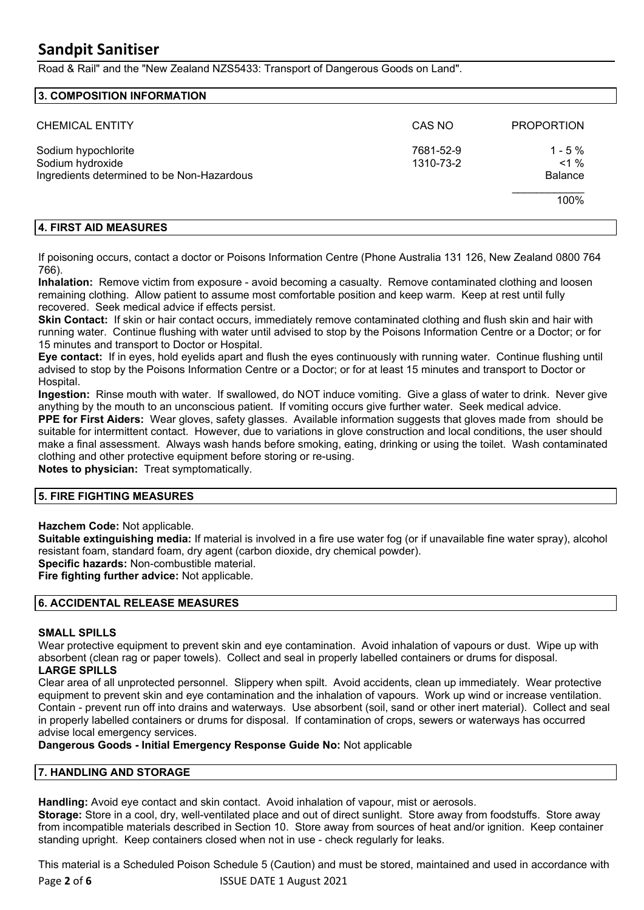Road & Rail" and the "New Zealand NZS5433: Transport of Dangerous Goods on Land".

#### **3. COMPOSITION INFORMATION**

| <b>CHEMICAL ENTITY</b>                                                                | CAS NO                 | <b>PROPORTION</b>                      |
|---------------------------------------------------------------------------------------|------------------------|----------------------------------------|
| Sodium hypochlorite<br>Sodium hydroxide<br>Ingredients determined to be Non-Hazardous | 7681-52-9<br>1310-73-2 | $1 - 5%$<br>$< 1 \%$<br><b>Balance</b> |
|                                                                                       |                        | 100%                                   |

#### **4. FIRST AID MEASURES**

If poisoning occurs, contact a doctor or Poisons Information Centre (Phone Australia 131 126, New Zealand 0800 764 766).

**Inhalation:** Remove victim from exposure - avoid becoming a casualty. Remove contaminated clothing and loosen remaining clothing. Allow patient to assume most comfortable position and keep warm. Keep at rest until fully recovered. Seek medical advice if effects persist.

**Skin Contact:** If skin or hair contact occurs, immediately remove contaminated clothing and flush skin and hair with running water. Continue flushing with water until advised to stop by the Poisons Information Centre or a Doctor; or for 15 minutes and transport to Doctor or Hospital.

**Eye contact:** If in eyes, hold eyelids apart and flush the eyes continuously with running water. Continue flushing until advised to stop by the Poisons Information Centre or a Doctor; or for at least 15 minutes and transport to Doctor or Hospital.

**Ingestion:** Rinse mouth with water. If swallowed, do NOT induce vomiting. Give a glass of water to drink. Never give anything by the mouth to an unconscious patient. If vomiting occurs give further water. Seek medical advice.

**PPE for First Aiders:** Wear gloves, safety glasses. Available information suggests that gloves made from should be suitable for intermittent contact. However, due to variations in glove construction and local conditions, the user should make a final assessment. Always wash hands before smoking, eating, drinking or using the toilet. Wash contaminated clothing and other protective equipment before storing or re-using.

**Notes to physician:** Treat symptomatically.

#### **5. FIRE FIGHTING MEASURES**

**Hazchem Code:** Not applicable.

**Suitable extinguishing media:** If material is involved in a fire use water fog (or if unavailable fine water spray), alcohol resistant foam, standard foam, dry agent (carbon dioxide, dry chemical powder).

**Specific hazards:** Non-combustible material.

**Fire fighting further advice:** Not applicable.

#### **6. ACCIDENTAL RELEASE MEASURES**

#### **SMALL SPILLS**

Wear protective equipment to prevent skin and eye contamination. Avoid inhalation of vapours or dust. Wipe up with absorbent (clean rag or paper towels). Collect and seal in properly labelled containers or drums for disposal. **LARGE SPILLS**

Clear area of all unprotected personnel. Slippery when spilt. Avoid accidents, clean up immediately. Wear protective equipment to prevent skin and eye contamination and the inhalation of vapours. Work up wind or increase ventilation. Contain - prevent run off into drains and waterways. Use absorbent (soil, sand or other inert material). Collect and seal in properly labelled containers or drums for disposal. If contamination of crops, sewers or waterways has occurred advise local emergency services.

#### **Dangerous Goods - Initial Emergency Response Guide No:** Not applicable

#### **7. HANDLING AND STORAGE**

**Handling:** Avoid eye contact and skin contact. Avoid inhalation of vapour, mist or aerosols.

**Storage:** Store in a cool, dry, well-ventilated place and out of direct sunlight. Store away from foodstuffs. Store away from incompatible materials described in Section 10. Store away from sources of heat and/or ignition. Keep container standing upright. Keep containers closed when not in use - check regularly for leaks.

Page 2 of 6 **12 ISSUE DATE 1 August 2021** This material is a Scheduled Poison Schedule 5 (Caution) and must be stored, maintained and used in accordance with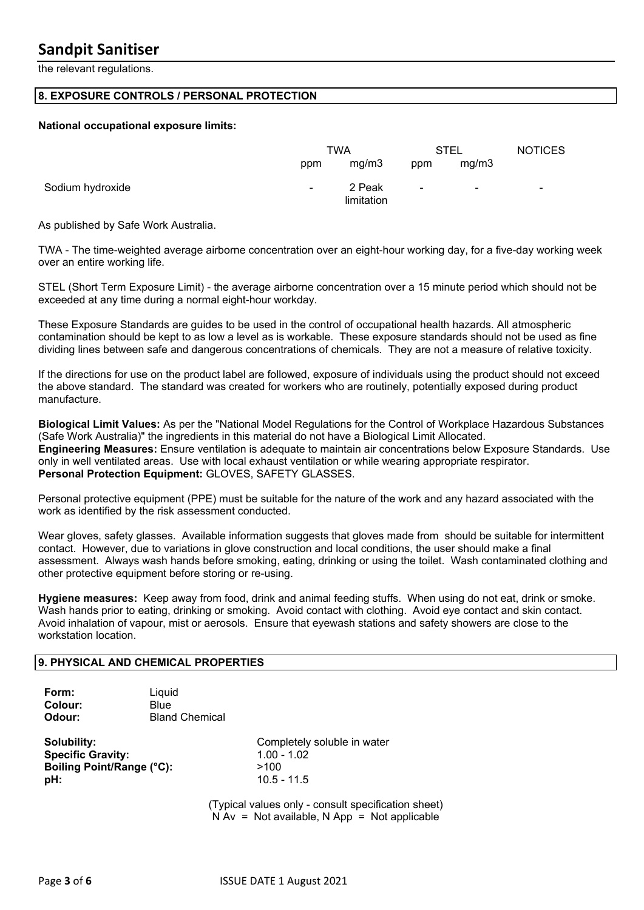the relevant regulations.

#### **8. EXPOSURE CONTROLS / PERSONAL PROTECTION**

#### **National occupational exposure limits:**

|                  |                | TWA                  |                | STEL  | <b>NOTICES</b> |
|------------------|----------------|----------------------|----------------|-------|----------------|
|                  | ppm            | mg/m3                | ppm            | mg/m3 |                |
| Sodium hydroxide | $\blacksquare$ | 2 Peak<br>limitation | $\blacksquare$ | ۰     | ۰              |

As published by Safe Work Australia.

TWA - The time-weighted average airborne concentration over an eight-hour working day, for a five-day working week over an entire working life.

STEL (Short Term Exposure Limit) - the average airborne concentration over a 15 minute period which should not be exceeded at any time during a normal eight-hour workday.

These Exposure Standards are guides to be used in the control of occupational health hazards. All atmospheric contamination should be kept to as low a level as is workable. These exposure standards should not be used as fine dividing lines between safe and dangerous concentrations of chemicals. They are not a measure of relative toxicity.

If the directions for use on the product label are followed, exposure of individuals using the product should not exceed the above standard. The standard was created for workers who are routinely, potentially exposed during product manufacture.

**Biological Limit Values:** As per the "National Model Regulations for the Control of Workplace Hazardous Substances (Safe Work Australia)" the ingredients in this material do not have a Biological Limit Allocated. **Engineering Measures:** Ensure ventilation is adequate to maintain air concentrations below Exposure Standards. Use only in well ventilated areas. Use with local exhaust ventilation or while wearing appropriate respirator. **Personal Protection Equipment:** GLOVES, SAFETY GLASSES.

Personal protective equipment (PPE) must be suitable for the nature of the work and any hazard associated with the work as identified by the risk assessment conducted.

Wear gloves, safety glasses. Available information suggests that gloves made from should be suitable for intermittent contact. However, due to variations in glove construction and local conditions, the user should make a final assessment. Always wash hands before smoking, eating, drinking or using the toilet. Wash contaminated clothing and other protective equipment before storing or re-using.

**Hygiene measures:** Keep away from food, drink and animal feeding stuffs. When using do not eat, drink or smoke. Wash hands prior to eating, drinking or smoking. Avoid contact with clothing. Avoid eye contact and skin contact. Avoid inhalation of vapour, mist or aerosols. Ensure that eyewash stations and safety showers are close to the workstation location.

#### **9. PHYSICAL AND CHEMICAL PROPERTIES**

| Form:   | Liquid                |
|---------|-----------------------|
| Colour: | <b>Blue</b>           |
| Odour:  | <b>Bland Chemical</b> |

**Specific Gravity:** 1.00 - 1.02 **Boiling Point/Range (°C):** >100 **pH:**  $10.5 - 11.5$ 

**Solubility:** Completely soluble in water

(Typical values only - consult specification sheet)  $N Av = Not available, N App = Not applicable$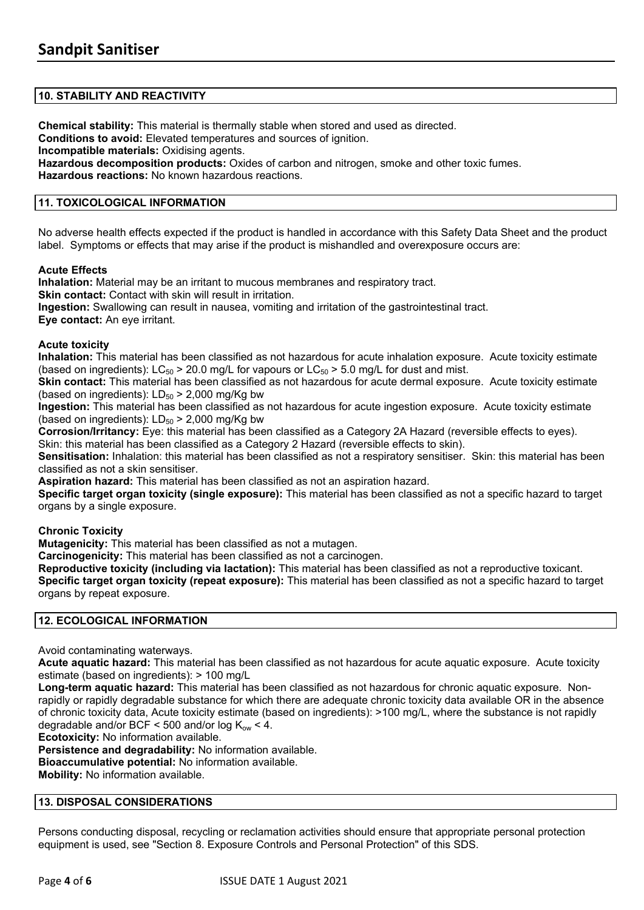#### **10. STABILITY AND REACTIVITY**

**Chemical stability:** This material is thermally stable when stored and used as directed. **Conditions to avoid:** Elevated temperatures and sources of ignition. **Incompatible materials:** Oxidising agents. **Hazardous decomposition products:** Oxides of carbon and nitrogen, smoke and other toxic fumes. **Hazardous reactions:** No known hazardous reactions.

#### **11. TOXICOLOGICAL INFORMATION**

No adverse health effects expected if the product is handled in accordance with this Safety Data Sheet and the product label. Symptoms or effects that may arise if the product is mishandled and overexposure occurs are:

#### **Acute Effects**

**Inhalation:** Material may be an irritant to mucous membranes and respiratory tract. **Skin contact:** Contact with skin will result in irritation. **Ingestion:** Swallowing can result in nausea, vomiting and irritation of the gastrointestinal tract. **Eye contact:** An eye irritant.

#### **Acute toxicity**

**Inhalation:** This material has been classified as not hazardous for acute inhalation exposure. Acute toxicity estimate (based on ingredients):  $LC_{50}$  > 20.0 mg/L for vapours or  $LC_{50}$  > 5.0 mg/L for dust and mist.

**Skin contact:** This material has been classified as not hazardous for acute dermal exposure. Acute toxicity estimate (based on ingredients):  $LD_{50}$  > 2,000 mg/Kg bw

**Ingestion:** This material has been classified as not hazardous for acute ingestion exposure. Acute toxicity estimate (based on ingredients):  $LD_{50}$  > 2,000 mg/Kg bw

**Corrosion/Irritancy:** Eye: this material has been classified as a Category 2A Hazard (reversible effects to eyes). Skin: this material has been classified as a Category 2 Hazard (reversible effects to skin).

**Sensitisation:** Inhalation: this material has been classified as not a respiratory sensitiser. Skin: this material has been classified as not a skin sensitiser.

**Aspiration hazard:** This material has been classified as not an aspiration hazard.

**Specific target organ toxicity (single exposure):** This material has been classified as not a specific hazard to target organs by a single exposure.

#### **Chronic Toxicity**

**Mutagenicity:** This material has been classified as not a mutagen.

**Carcinogenicity:** This material has been classified as not a carcinogen.

**Reproductive toxicity (including via lactation):** This material has been classified as not a reproductive toxicant. **Specific target organ toxicity (repeat exposure):** This material has been classified as not a specific hazard to target organs by repeat exposure.

#### **12. ECOLOGICAL INFORMATION**

Avoid contaminating waterways.

**Acute aquatic hazard:** This material has been classified as not hazardous for acute aquatic exposure. Acute toxicity estimate (based on ingredients): > 100 mg/L

**Long-term aquatic hazard:** This material has been classified as not hazardous for chronic aquatic exposure. Nonrapidly or rapidly degradable substance for which there are adequate chronic toxicity data available OR in the absence of chronic toxicity data, Acute toxicity estimate (based on ingredients): >100 mg/L, where the substance is not rapidly degradable and/or BCF < 500 and/or  $log K<sub>ow</sub>$  < 4.

**Ecotoxicity:** No information available.

**Persistence and degradability:** No information available.

**Bioaccumulative potential:** No information available.

**Mobility:** No information available.

#### **13. DISPOSAL CONSIDERATIONS**

Persons conducting disposal, recycling or reclamation activities should ensure that appropriate personal protection equipment is used, see "Section 8. Exposure Controls and Personal Protection" of this SDS.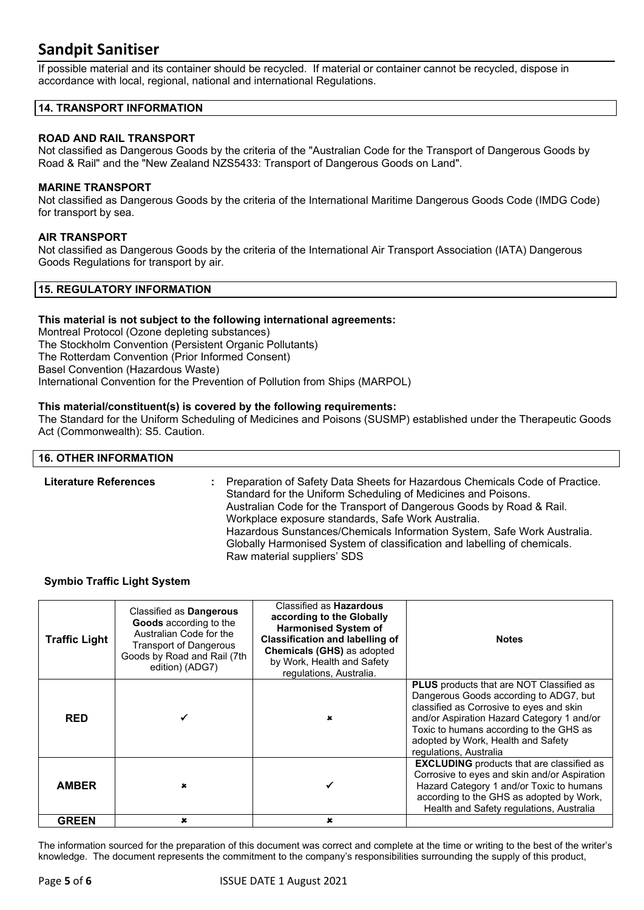If possible material and its container should be recycled. If material or container cannot be recycled, dispose in accordance with local, regional, national and international Regulations.

#### **14. TRANSPORT INFORMATION**

#### **ROAD AND RAIL TRANSPORT**

Not classified as Dangerous Goods by the criteria of the "Australian Code for the Transport of Dangerous Goods by Road & Rail" and the "New Zealand NZS5433: Transport of Dangerous Goods on Land".

#### **MARINE TRANSPORT**

Not classified as Dangerous Goods by the criteria of the International Maritime Dangerous Goods Code (IMDG Code) for transport by sea.

#### **AIR TRANSPORT**

Not classified as Dangerous Goods by the criteria of the International Air Transport Association (IATA) Dangerous Goods Regulations for transport by air.

#### **15. REGULATORY INFORMATION**

#### **This material is not subject to the following international agreements:**

Montreal Protocol (Ozone depleting substances) The Stockholm Convention (Persistent Organic Pollutants) The Rotterdam Convention (Prior Informed Consent) Basel Convention (Hazardous Waste) International Convention for the Prevention of Pollution from Ships (MARPOL)

#### **This material/constituent(s) is covered by the following requirements:**

The Standard for the Uniform Scheduling of Medicines and Poisons (SUSMP) established under the Therapeutic Goods Act (Commonwealth): S5. Caution.

### **16. OTHER INFORMATION Literature References :** Preparation of Safety Data Sheets for Hazardous Chemicals Code of Practice. Standard for the Uniform Scheduling of Medicines and Poisons. Australian Code for the Transport of Dangerous Goods by Road & Rail. Workplace exposure standards, Safe Work Australia. Hazardous Sunstances/Chemicals Information System, Safe Work Australia. Globally Harmonised System of classification and labelling of chemicals.

Raw material suppliers' SDS

#### **Symbio Traffic Light System**

| <b>Traffic Light</b> | Classified as <b>Dangerous</b><br>Goods according to the<br>Australian Code for the<br><b>Transport of Dangerous</b><br>Goods by Road and Rail (7th<br>edition) (ADG7) | Classified as <b>Hazardous</b><br>according to the Globally<br><b>Harmonised System of</b><br><b>Classification and labelling of</b><br>Chemicals (GHS) as adopted<br>by Work, Health and Safety<br>regulations, Australia. | <b>Notes</b>                                                                                                                                                                                                                                                                                   |
|----------------------|------------------------------------------------------------------------------------------------------------------------------------------------------------------------|-----------------------------------------------------------------------------------------------------------------------------------------------------------------------------------------------------------------------------|------------------------------------------------------------------------------------------------------------------------------------------------------------------------------------------------------------------------------------------------------------------------------------------------|
| <b>RED</b>           |                                                                                                                                                                        |                                                                                                                                                                                                                             | <b>PLUS</b> products that are NOT Classified as<br>Dangerous Goods according to ADG7, but<br>classified as Corrosive to eyes and skin<br>and/or Aspiration Hazard Category 1 and/or<br>Toxic to humans according to the GHS as<br>adopted by Work, Health and Safety<br>regulations, Australia |
| <b>AMBER</b>         | ×                                                                                                                                                                      |                                                                                                                                                                                                                             | <b>EXCLUDING</b> products that are classified as<br>Corrosive to eyes and skin and/or Aspiration<br>Hazard Category 1 and/or Toxic to humans<br>according to the GHS as adopted by Work,<br>Health and Safety regulations, Australia                                                           |
| <b>GREEN</b>         | ×                                                                                                                                                                      | ×                                                                                                                                                                                                                           |                                                                                                                                                                                                                                                                                                |

The information sourced for the preparation of this document was correct and complete at the time or writing to the best of the writer's knowledge. The document represents the commitment to the company's responsibilities surrounding the supply of this product,